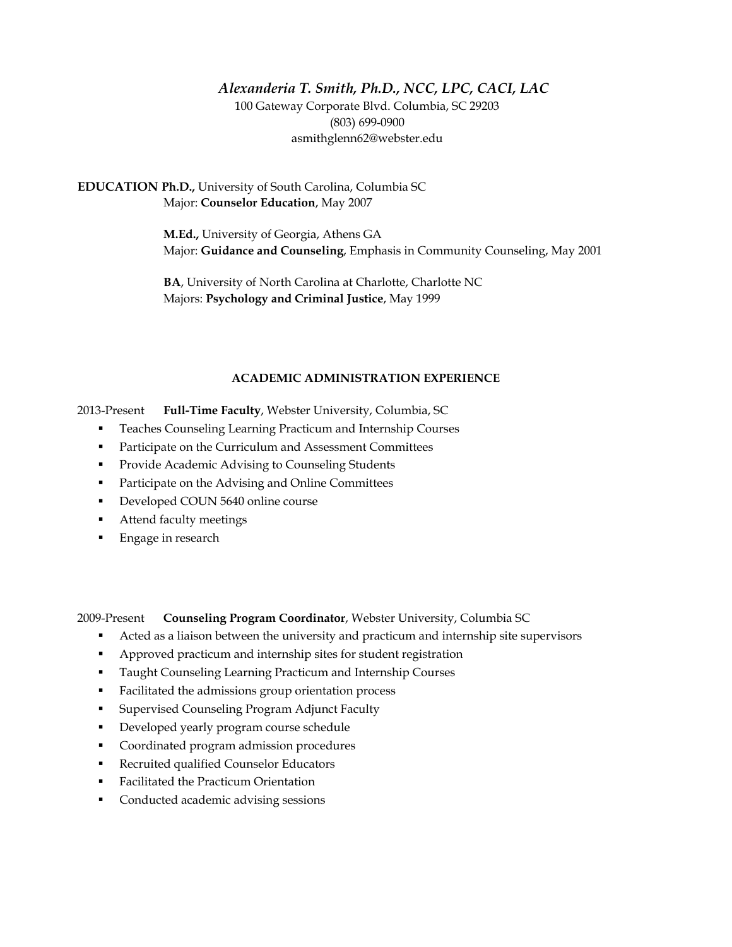# *Alexanderia T. Smith, Ph.D., NCC, LPC, CACI, LAC* 100 Gateway Corporate Blvd. Columbia, SC 29203 (803) 699-0900 asmithglenn62@webster.edu

**EDUCATION Ph.D.,** University of South Carolina, Columbia SC Major: **Counselor Education**, May 2007

> **M.Ed.,** University of Georgia, Athens GA Major: **Guidance and Counseling**, Emphasis in Community Counseling, May 2001

**BA**, University of North Carolina at Charlotte, Charlotte NC Majors: **Psychology and Criminal Justice**, May 1999

# **ACADEMIC ADMINISTRATION EXPERIENCE**

2013-Present **Full-Time Faculty**, Webster University, Columbia, SC

- **Teaches Counseling Learning Practicum and Internship Courses**
- **Participate on the Curriculum and Assessment Committees**
- **Provide Academic Advising to Counseling Students**
- **Participate on the Advising and Online Committees**
- Developed COUN 5640 online course
- Attend faculty meetings
- Engage in research

2009-Present **Counseling Program Coordinator**, Webster University, Columbia SC

- Acted as a liaison between the university and practicum and internship site supervisors
- Approved practicum and internship sites for student registration
- **Taught Counseling Learning Practicum and Internship Courses**
- Facilitated the admissions group orientation process
- **Exercised Counseling Program Adjunct Faculty**
- Developed yearly program course schedule
- Coordinated program admission procedures
- Recruited qualified Counselor Educators
- Facilitated the Practicum Orientation
- **Conducted academic advising sessions**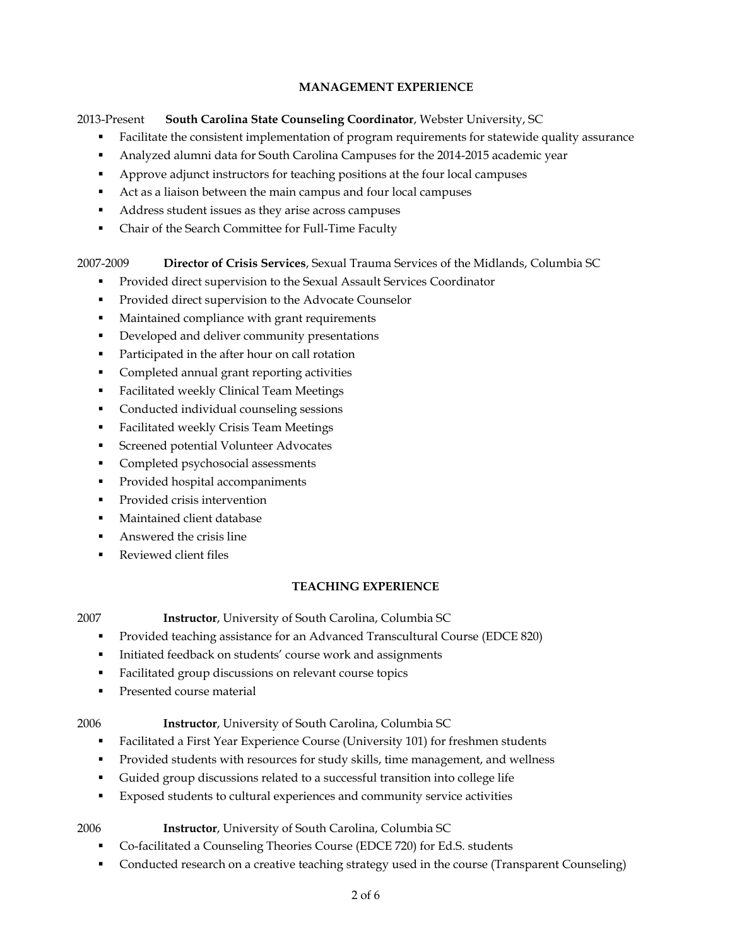# **MANAGEMENT EXPERIENCE**

# 2013-Present **South Carolina State Counseling Coordinator**, Webster University, SC

- Facilitate the consistent implementation of program requirements for statewide quality assurance
- Analyzed alumni data for South Carolina Campuses for the 2014-2015 academic year
- Approve adjunct instructors for teaching positions at the four local campuses
- Act as a liaison between the main campus and four local campuses
- Address student issues as they arise across campuses
- Chair of the Search Committee for Full-Time Faculty

# 2007-2009 **Director of Crisis Services**, Sexual Trauma Services of the Midlands, Columbia SC

- **Provided direct supervision to the Sexual Assault Services Coordinator**
- **Provided direct supervision to the Advocate Counselor**
- Maintained compliance with grant requirements
- Developed and deliver community presentations
- Participated in the after hour on call rotation
- **Completed annual grant reporting activities**
- **Facilitated weekly Clinical Team Meetings**
- Conducted individual counseling sessions
- Facilitated weekly Crisis Team Meetings
- **Screened potential Volunteer Advocates**
- **Completed psychosocial assessments**
- Provided hospital accompaniments
- Provided crisis intervention
- Maintained client database
- Answered the crisis line
- Reviewed client files

# **TEACHING EXPERIENCE**

- 2007 **Instructor**, University of South Carolina, Columbia SC
	- Provided teaching assistance for an Advanced Transcultural Course (EDCE 820)
	- Initiated feedback on students' course work and assignments
	- Facilitated group discussions on relevant course topics
	- **Presented course material**
- 

# 2006 **Instructor**, University of South Carolina, Columbia SC

- Facilitated a First Year Experience Course (University 101) for freshmen students
- Provided students with resources for study skills, time management, and wellness
- Guided group discussions related to a successful transition into college life
- Exposed students to cultural experiences and community service activities
- 2006 **Instructor**, University of South Carolina, Columbia SC
	- Co-facilitated a Counseling Theories Course (EDCE 720) for Ed.S. students
	- Conducted research on a creative teaching strategy used in the course (Transparent Counseling)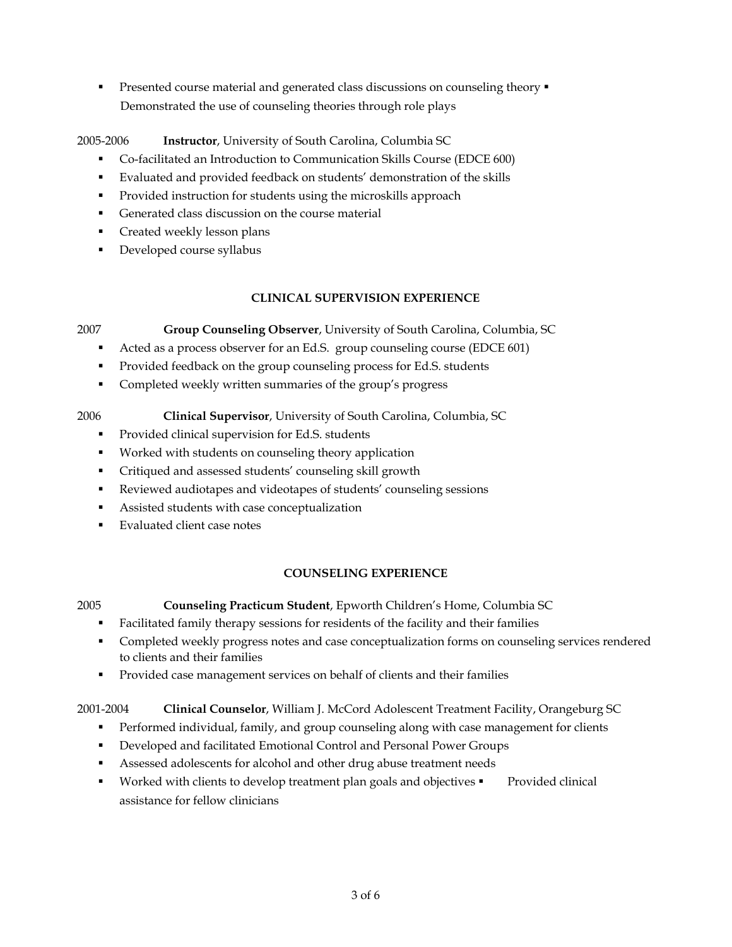**Presented course material and generated class discussions on counseling theory** Demonstrated the use of counseling theories through role plays

# 2005-2006 **Instructor**, University of South Carolina, Columbia SC

- Co-facilitated an Introduction to Communication Skills Course (EDCE 600)
- Evaluated and provided feedback on students' demonstration of the skills
- Provided instruction for students using the microskills approach
- Generated class discussion on the course material
- Created weekly lesson plans
- Developed course syllabus

# **CLINICAL SUPERVISION EXPERIENCE**

2007 **Group Counseling Observer**, University of South Carolina, Columbia, SC

- Acted as a process observer for an Ed.S. group counseling course (EDCE 601)
- Provided feedback on the group counseling process for Ed.S. students
- Completed weekly written summaries of the group's progress
- 2006 **Clinical Supervisor**, University of South Carolina, Columbia, SC
	- **Provided clinical supervision for Ed.S. students**
	- Worked with students on counseling theory application
	- Critiqued and assessed students' counseling skill growth
	- Reviewed audiotapes and videotapes of students' counseling sessions
	- Assisted students with case conceptualization
	- Evaluated client case notes

# **COUNSELING EXPERIENCE**

- 2005 **Counseling Practicum Student**, Epworth Children's Home, Columbia SC
	- Facilitated family therapy sessions for residents of the facility and their families
	- Completed weekly progress notes and case conceptualization forms on counseling services rendered to clients and their families
	- Provided case management services on behalf of clients and their families

# 2001-2004 **Clinical Counselor**, William J. McCord Adolescent Treatment Facility, Orangeburg SC

- **Performed individual, family, and group counseling along with case management for clients**
- Developed and facilitated Emotional Control and Personal Power Groups
- Assessed adolescents for alcohol and other drug abuse treatment needs
- Worked with clients to develop treatment plan goals and objectives **•** Provided clinical assistance for fellow clinicians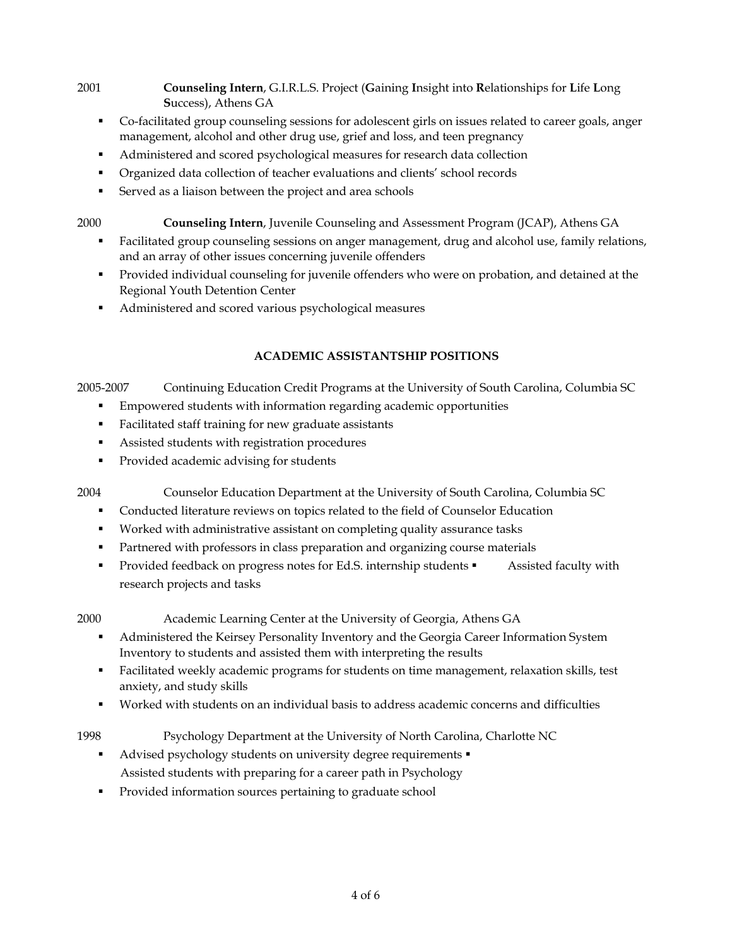- 2001 **Counseling Intern**, G.I.R.L.S. Project (**G**aining **I**nsight into **R**elationships for **L**ife **L**ong **S**uccess), Athens GA
	- Co-facilitated group counseling sessions for adolescent girls on issues related to career goals, anger management, alcohol and other drug use, grief and loss, and teen pregnancy
	- Administered and scored psychological measures for research data collection
	- Organized data collection of teacher evaluations and clients' school records
	- Served as a liaison between the project and area schools
- 2000 **Counseling Intern**, Juvenile Counseling and Assessment Program (JCAP), Athens GA
	- **Facilitated group counseling sessions on anger management, drug and alcohol use, family relations,** and an array of other issues concerning juvenile offenders
	- Provided individual counseling for juvenile offenders who were on probation, and detained at the Regional Youth Detention Center
	- Administered and scored various psychological measures

# **ACADEMIC ASSISTANTSHIP POSITIONS**

2005-2007 Continuing Education Credit Programs at the University of South Carolina, Columbia SC

- Empowered students with information regarding academic opportunities
- Facilitated staff training for new graduate assistants
- Assisted students with registration procedures
- **Provided academic advising for students**

2004 Counselor Education Department at the University of South Carolina, Columbia SC

- Conducted literature reviews on topics related to the field of Counselor Education
- Worked with administrative assistant on completing quality assurance tasks
- Partnered with professors in class preparation and organizing course materials
- Provided feedback on progress notes for Ed.S. internship students  $\blacksquare$  Assisted faculty with research projects and tasks
- 2000 Academic Learning Center at the University of Georgia, Athens GA
	- Administered the Keirsey Personality Inventory and the Georgia Career Information System Inventory to students and assisted them with interpreting the results
	- Facilitated weekly academic programs for students on time management, relaxation skills, test anxiety, and study skills
	- Worked with students on an individual basis to address academic concerns and difficulties
- 1998 Psychology Department at the University of North Carolina, Charlotte NC
	- Advised psychology students on university degree requirements  $\blacksquare$ Assisted students with preparing for a career path in Psychology
	- Provided information sources pertaining to graduate school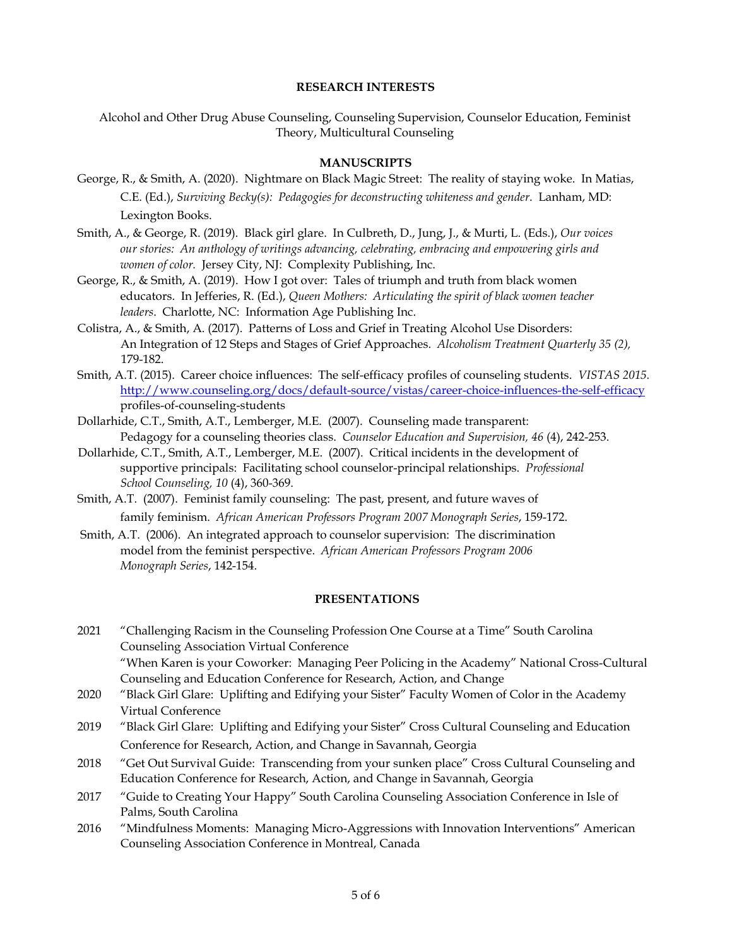#### **RESEARCH INTERESTS**

Alcohol and Other Drug Abuse Counseling, Counseling Supervision, Counselor Education, Feminist Theory, Multicultural Counseling

### **MANUSCRIPTS**

- George, R., & Smith, A. (2020). Nightmare on Black Magic Street: The reality of staying woke. In Matias, C.E. (Ed.), *Surviving Becky(s): Pedagogies for deconstructing whiteness and gender*. Lanham, MD: Lexington Books.
- Smith, A., & George, R. (2019). Black girl glare. In Culbreth, D., Jung, J., & Murti, L. (Eds.), *Our voices our stories: An anthology of writings advancing, celebrating, embracing and empowering girls and women of color.* Jersey City, NJ: Complexity Publishing, Inc.
- George, R., & Smith, A. (2019). How I got over: Tales of triumph and truth from black women educators. In Jefferies, R. (Ed.), *Queen Mothers: Articulating the spirit of black women teacher leaders*. Charlotte, NC: Information Age Publishing Inc.
- Colistra, A., & Smith, A. (2017). Patterns of Loss and Grief in Treating Alcohol Use Disorders: An Integration of 12 Steps and Stages of Grief Approaches. *Alcoholism Treatment Quarterly 35 (2),*  179-182.
- Smith, A.T. (2015). Career choice influences: The self-efficacy profiles of counseling students. *VISTAS 2015.* [http://www.counseling.org/docs/default-source/vistas/career-choice-influences-the-self-efficacy](http://www.counseling.org/docs/default-source/vistas/career-choice-influences-the-self-efficacy-) profiles-of-counseling-students
- Dollarhide, C.T., Smith, A.T., Lemberger, M.E. (2007). Counseling made transparent: Pedagogy for a counseling theories class. *Counselor Education and Supervision, 46* (4), 242-253.
- Dollarhide, C.T., Smith, A.T., Lemberger, M.E. (2007). Critical incidents in the development of supportive principals: Facilitating school counselor-principal relationships. *Professional School Counseling, 10* (4), 360-369.
- Smith, A.T. (2007). Feminist family counseling: The past, present, and future waves of family feminism. *African American Professors Program 2007 Monograph Series*, 159-172.
- Smith, A.T. (2006). An integrated approach to counselor supervision: The discrimination model from the feminist perspective. *African American Professors Program 2006 Monograph Series*, 142-154.

### **PRESENTATIONS**

- 2021 "Challenging Racism in the Counseling Profession One Course at a Time" South Carolina Counseling Association Virtual Conference "When Karen is your Coworker: Managing Peer Policing in the Academy" National Cross-Cultural Counseling and Education Conference for Research, Action, and Change
- 2020 "Black Girl Glare: Uplifting and Edifying your Sister" Faculty Women of Color in the Academy Virtual Conference
- 2019 "Black Girl Glare: Uplifting and Edifying your Sister" Cross Cultural Counseling and Education Conference for Research, Action, and Change in Savannah, Georgia
- 2018 "Get Out Survival Guide: Transcending from your sunken place" Cross Cultural Counseling and Education Conference for Research, Action, and Change in Savannah, Georgia
- 2017 "Guide to Creating Your Happy" South Carolina Counseling Association Conference in Isle of Palms, South Carolina
- 2016 "Mindfulness Moments: Managing Micro-Aggressions with Innovation Interventions" American Counseling Association Conference in Montreal, Canada